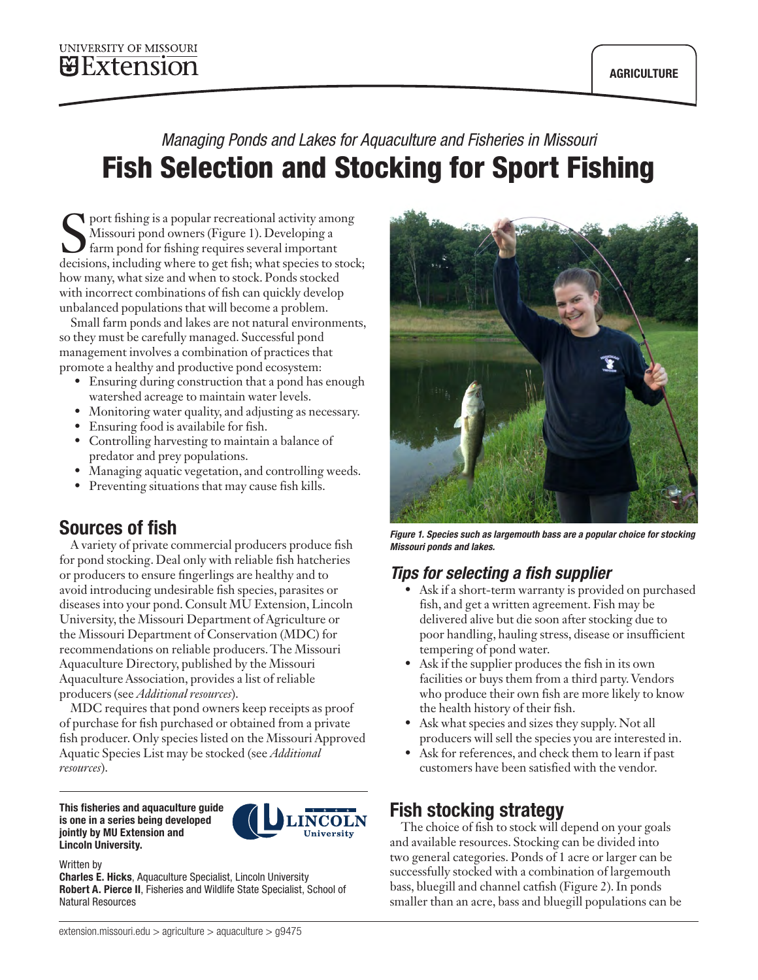# *Managing Ponds and Lakes for Aquaculture and Fisheries in Missouri* Fish Selection and Stocking for Sport Fishing

**S** port fishing is a popular recreational activity among<br>Missouri pond owners (Figure 1). Developing a<br>farm pond for fishing requires several important<br>decisions, including where to get fish; what species to stock Missouri pond owners (Figure 1). Developing a decisions, including where to get fish; what species to stock; how many, what size and when to stock. Ponds stocked with incorrect combinations of fish can quickly develop unbalanced populations that will become a problem.

Small farm ponds and lakes are not natural environments, so they must be carefully managed. Successful pond management involves a combination of practices that promote a healthy and productive pond ecosystem:

- Ensuring during construction that a pond has enough watershed acreage to maintain water levels.
- Monitoring water quality, and adjusting as necessary.
- Ensuring food is availabile for fish.
- Controlling harvesting to maintain a balance of predator and prey populations.
- Managing aquatic vegetation, and controlling weeds.
- Preventing situations that may cause fish kills.

# Sources of fish

A variety of private commercial producers produce fish for pond stocking. Deal only with reliable fish hatcheries or producers to ensure fingerlings are healthy and to avoid introducing undesirable fish species, parasites or diseases into your pond. Consult MU Extension, Lincoln University, the Missouri Department of Agriculture or the Missouri Department of Conservation (MDC) for recommendations on reliable producers. The Missouri Aquaculture Directory, published by the Missouri Aquaculture Association, provides a list of reliable producers (see *Additional resources*).

MDC requires that pond owners keep receipts as proof of purchase for fish purchased or obtained from a private fish producer. Only species listed on the Missouri Approved Aquatic Species List may be stocked (see *Additional resources*).

This fisheries and aquaculture guide is one in a series being developed jointly by MU Extension and Lincoln University.



#### Written by

Charles E. Hicks, Aquaculture Specialist, Lincoln University Robert A. Pierce II, Fisheries and Wildlife State Specialist, School of Natural Resources



*Figure 1. Species such as largemouth bass are a popular choice for stocking Missouri ponds and lakes.*

### *Tips for selecting a fish supplier*

- Ask if a short-term warranty is provided on purchased fish, and get a written agreement. Fish may be delivered alive but die soon after stocking due to poor handling, hauling stress, disease or insufficient tempering of pond water.
- Ask if the supplier produces the fish in its own facilities or buys them from a third party. Vendors who produce their own fish are more likely to know the health history of their fish.
- Ask what species and sizes they supply. Not all producers will sell the species you are interested in.
- Ask for references, and check them to learn if past customers have been satisfied with the vendor.

# Fish stocking strategy

The choice of fish to stock will depend on your goals and available resources. Stocking can be divided into two general categories. Ponds of 1 acre or larger can be successfully stocked with a combination of largemouth bass, bluegill and channel catfish (Figure 2). In ponds smaller than an acre, bass and bluegill populations can be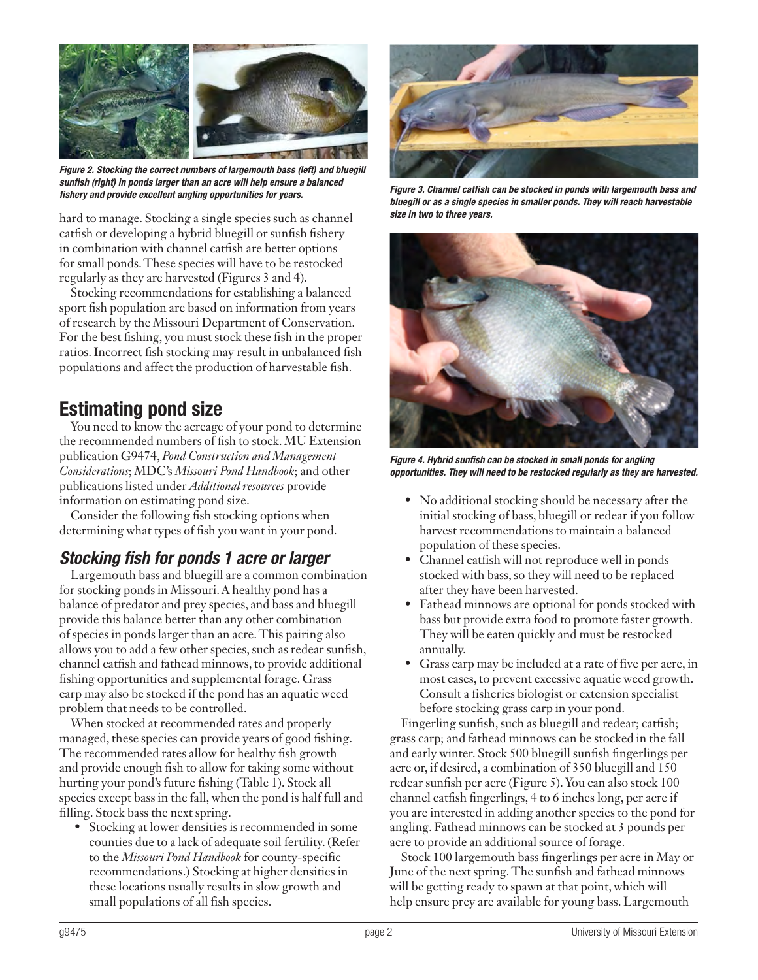

*Figure 2. Stocking the correct numbers of largemouth bass (left) and bluegill sunfish (right) in ponds larger than an acre will help ensure a balanced fishery and provide excellent angling opportunities for years. Figure 3. Channel catfish can be stocked in ponds with largemouth bass and* 

hard to manage. Stocking a single species such as channel catfish or developing a hybrid bluegill or sunfish fishery in combination with channel catfish are better options for small ponds. These species will have to be restocked regularly as they are harvested (Figures 3 and 4).

Stocking recommendations for establishing a balanced sport fish population are based on information from years of research by the Missouri Department of Conservation. For the best fishing, you must stock these fish in the proper ratios. Incorrect fish stocking may result in unbalanced fish populations and affect the production of harvestable fish.

# Estimating pond size

You need to know the acreage of your pond to determine the recommended numbers of fish to stock. MU Extension publication G9474, *Pond Construction and Management Considerations*; MDC's *Missouri Pond Handbook*; and other publications listed under *Additional resources* provide information on estimating pond size.

Consider the following fish stocking options when determining what types of fish you want in your pond.

# *Stocking fish for ponds 1 acre or larger*

Largemouth bass and bluegill are a common combination for stocking ponds in Missouri. A healthy pond has a balance of predator and prey species, and bass and bluegill provide this balance better than any other combination of species in ponds larger than an acre. This pairing also allows you to add a few other species, such as redear sunfish, channel catfish and fathead minnows, to provide additional fishing opportunities and supplemental forage. Grass carp may also be stocked if the pond has an aquatic weed problem that needs to be controlled.

When stocked at recommended rates and properly managed, these species can provide years of good fishing. The recommended rates allow for healthy fish growth and provide enough fish to allow for taking some without hurting your pond's future fishing (Table 1). Stock all species except bass in the fall, when the pond is half full and filling. Stock bass the next spring.

• Stocking at lower densities is recommended in some counties due to a lack of adequate soil fertility. (Refer to the *Missouri Pond Handbook* for county-specific recommendations.) Stocking at higher densities in these locations usually results in slow growth and small populations of all fish species.



*bluegill or as a single species in smaller ponds. They will reach harvestable size in two to three years.*



*Figure 4. Hybrid sunfish can be stocked in small ponds for angling opportunities. They will need to be restocked regularly as they are harvested.*

- No additional stocking should be necessary after the initial stocking of bass, bluegill or redear if you follow harvest recommendations to maintain a balanced population of these species.
- Channel catfish will not reproduce well in ponds stocked with bass, so they will need to be replaced after they have been harvested.
- Fathead minnows are optional for ponds stocked with bass but provide extra food to promote faster growth. They will be eaten quickly and must be restocked annually.
- Grass carp may be included at a rate of five per acre, in most cases, to prevent excessive aquatic weed growth. Consult a fisheries biologist or extension specialist before stocking grass carp in your pond.

Fingerling sunfish, such as bluegill and redear; catfish; grass carp; and fathead minnows can be stocked in the fall and early winter. Stock 500 bluegill sunfish fingerlings per acre or, if desired, a combination of 350 bluegill and 150 redear sunfish per acre (Figure 5). You can also stock 100 channel catfish fingerlings, 4 to 6 inches long, per acre if you are interested in adding another species to the pond for angling. Fathead minnows can be stocked at 3 pounds per acre to provide an additional source of forage.

Stock 100 largemouth bass fingerlings per acre in May or June of the next spring. The sunfish and fathead minnows will be getting ready to spawn at that point, which will help ensure prey are available for young bass. Largemouth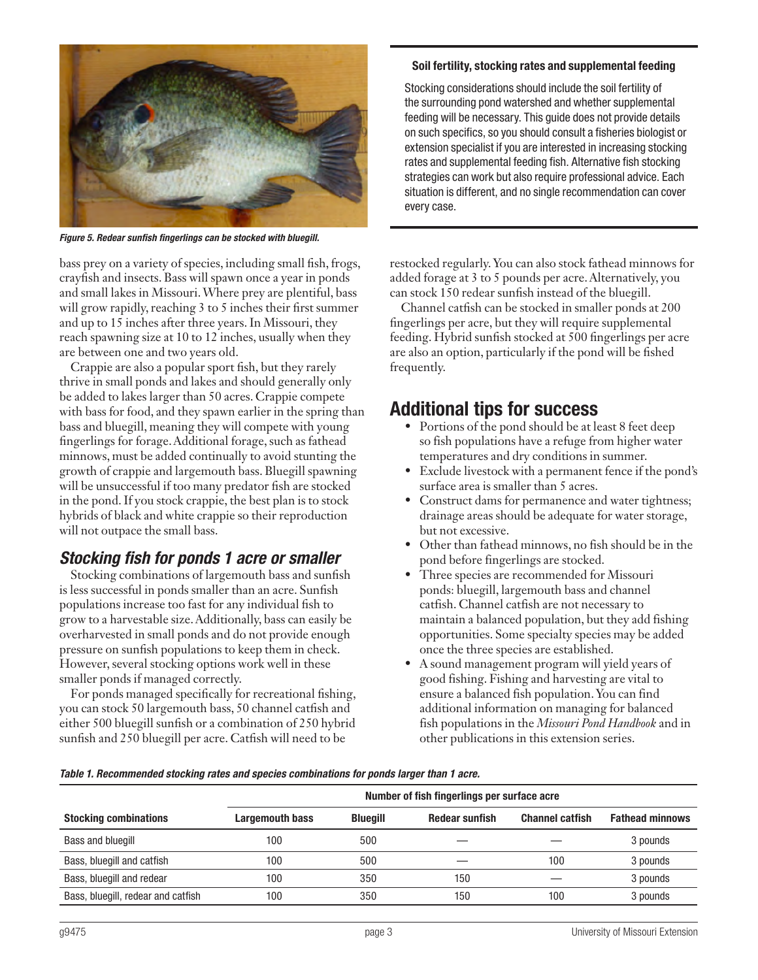

*Figure 5. Redear sunfish fingerlings can be stocked with bluegill.*

bass prey on a variety of species, including small fish, frogs, crayfish and insects. Bass will spawn once a year in ponds and small lakes in Missouri. Where prey are plentiful, bass will grow rapidly, reaching 3 to 5 inches their first summer and up to 15 inches after three years. In Missouri, they reach spawning size at 10 to 12 inches, usually when they are between one and two years old.

Crappie are also a popular sport fish, but they rarely thrive in small ponds and lakes and should generally only be added to lakes larger than 50 acres. Crappie compete with bass for food, and they spawn earlier in the spring than bass and bluegill, meaning they will compete with young fingerlings for forage. Additional forage, such as fathead minnows, must be added continually to avoid stunting the growth of crappie and largemouth bass. Bluegill spawning will be unsuccessful if too many predator fish are stocked in the pond. If you stock crappie, the best plan is to stock hybrids of black and white crappie so their reproduction will not outpace the small bass.

### *Stocking fish for ponds 1 acre or smaller*

Stocking combinations of largemouth bass and sunfish is less successful in ponds smaller than an acre. Sunfish populations increase too fast for any individual fish to grow to a harvestable size. Additionally, bass can easily be overharvested in small ponds and do not provide enough pressure on sunfish populations to keep them in check. However, several stocking options work well in these smaller ponds if managed correctly.

For ponds managed specifically for recreational fishing, you can stock 50 largemouth bass, 50 channel catfish and either 500 bluegill sunfish or a combination of 250 hybrid sunfish and 250 bluegill per acre. Catfish will need to be

### Soil fertility, stocking rates and supplemental feeding

Stocking considerations should include the soil fertility of the surrounding pond watershed and whether supplemental feeding will be necessary. This guide does not provide details on such specifics, so you should consult a fisheries biologist or extension specialist if you are interested in increasing stocking rates and supplemental feeding fish. Alternative fish stocking strategies can work but also require professional advice. Each situation is different, and no single recommendation can cover every case.

restocked regularly. You can also stock fathead minnows for added forage at 3 to 5 pounds per acre. Alternatively, you can stock 150 redear sunfish instead of the bluegill.

Channel catfish can be stocked in smaller ponds at 200 fingerlings per acre, but they will require supplemental feeding. Hybrid sunfish stocked at 500 fingerlings per acre are also an option, particularly if the pond will be fished frequently.

### Additional tips for success

- Portions of the pond should be at least 8 feet deep so fish populations have a refuge from higher water temperatures and dry conditions in summer.
- Exclude livestock with a permanent fence if the pond's surface area is smaller than 5 acres.
- Construct dams for permanence and water tightness; drainage areas should be adequate for water storage, but not excessive.
- Other than fathead minnows, no fish should be in the pond before fingerlings are stocked.
- Three species are recommended for Missouri ponds: bluegill, largemouth bass and channel catfish. Channel catfish are not necessary to maintain a balanced population, but they add fishing opportunities. Some specialty species may be added once the three species are established.
- A sound management program will yield years of good fishing. Fishing and harvesting are vital to ensure a balanced fish population. You can find additional information on managing for balanced fish populations in the *Missouri Pond Handbook* and in other publications in this extension series.

|  | Table 1. Recommended stocking rates and species combinations for ponds larger than 1 acre. |
|--|--------------------------------------------------------------------------------------------|
|--|--------------------------------------------------------------------------------------------|

|                                    | Number of fish fingerlings per surface acre |          |                       |                        |                        |  |
|------------------------------------|---------------------------------------------|----------|-----------------------|------------------------|------------------------|--|
| <b>Stocking combinations</b>       | Largemouth bass                             | Blueaill | <b>Redear sunfish</b> | <b>Channel catfish</b> | <b>Fathead minnows</b> |  |
| Bass and bluegill                  | 100                                         | 500      |                       |                        | 3 pounds               |  |
| Bass, bluegill and catfish         | 100                                         | 500      |                       | 100                    | 3 pounds               |  |
| Bass, bluegill and redear          | 100                                         | 350      | 150                   |                        | 3 pounds               |  |
| Bass, bluegill, redear and catfish | 100                                         | 350      | 150                   | 100                    | 3 pounds               |  |